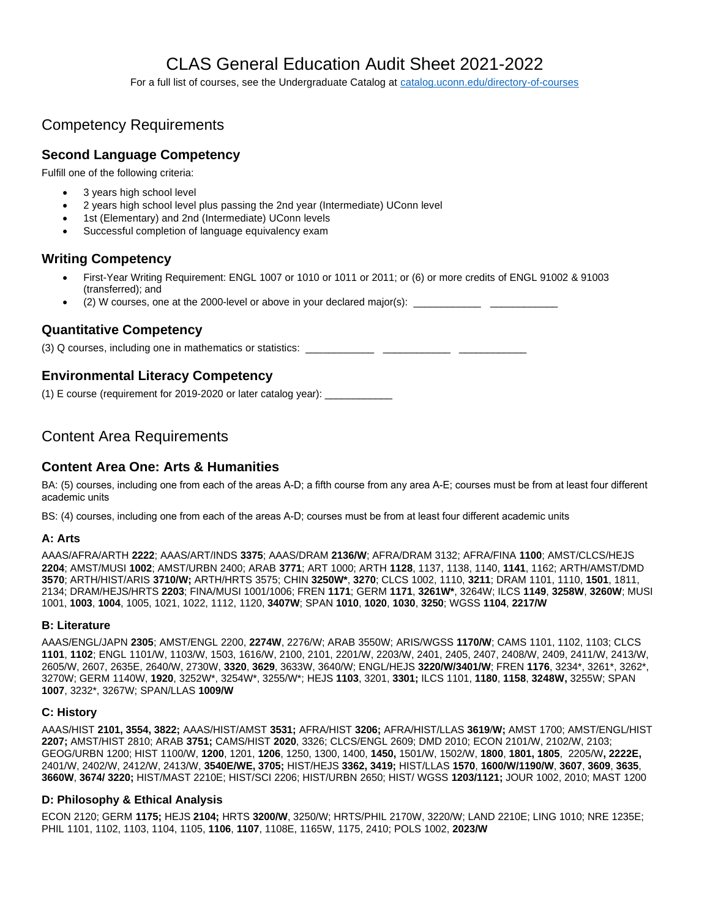# CLAS General Education Audit Sheet 2021-2022

For a full list of courses, see the Undergraduate Catalog at [catalog.uconn.edu/directory-of-courses](https://catalog.uconn.edu/directory-of-courses/)

# Competency Requirements

## **Second Language Competency**

Fulfill one of the following criteria:

- 3 years high school level
- 2 years high school level plus passing the 2nd year (Intermediate) UConn level
- 1st (Elementary) and 2nd (Intermediate) UConn levels
- Successful completion of language equivalency exam

## **Writing Competency**

- First-Year Writing Requirement: ENGL 1007 or 1010 or 1011 or 2011; or (6) or more credits of ENGL 91002 & 91003 (transferred); and
- (2) W courses, one at the 2000-level or above in your declared major(s):  $\Box$

## **Quantitative Competency**

(3) Q courses, including one in mathematics or statistics: \_\_\_\_\_\_\_\_\_\_\_\_\_\_\_\_\_\_\_\_\_

## **Environmental Literacy Competency**

 $(1)$  E course (requirement for 2019-2020 or later catalog year):

## Content Area Requirements

## **Content Area One: Arts & Humanities**

BA: (5) courses, including one from each of the areas A-D; a fifth course from any area A-E; courses must be from at least four different academic units

BS: (4) courses, including one from each of the areas A-D; courses must be from at least four different academic units

#### **A: Arts**

AAAS/AFRA/ARTH **2222**; AAAS/ART/INDS **3375**; AAAS/DRAM **2136/W**; AFRA/DRAM 3132; AFRA/FINA **1100**; AMST/CLCS/HEJS **2204**; AMST/MUSI **1002**; AMST/URBN 2400; ARAB **3771**; ART 1000; ARTH **1128**, 1137, 1138, 1140, **1141**, 1162; ARTH/AMST/DMD **3570**; ARTH/HIST/ARIS **3710/W;** ARTH/HRTS 3575; CHIN **3250W\***, **3270**; CLCS 1002, 1110, **3211**; DRAM 1101, 1110, **1501**, 1811, 2134; DRAM/HEJS/HRTS **2203**; FINA/MUSI 1001/1006; FREN **1171**; GERM **1171**, **3261W\***, 3264W; ILCS **1149**, **3258W**, **3260W**; MUSI 1001, **1003**, **1004**, 1005, 1021, 1022, 1112, 1120, **3407W**; SPAN **1010**, **1020**, **1030**, **3250**; WGSS **1104**, **2217/W**

#### **B: Literature**

AAAS/ENGL/JAPN **2305**; AMST/ENGL 2200, **2274W**, 2276/W; ARAB 3550W; ARIS/WGSS **1170/W**; CAMS 1101, 1102, 1103; CLCS **1101**, **1102**; ENGL 1101/W, 1103/W, 1503, 1616/W, 2100, 2101, 2201/W, 2203/W, 2401, 2405, 2407, 2408/W, 2409, 2411/W, 2413/W, 2605/W, 2607, 2635E, 2640/W, 2730W, **3320**, **3629**, 3633W, 3640/W; ENGL/HEJS **3220/W/3401/W**; FREN **1176**, 3234\*, 3261\*, 3262\*, 3270W; GERM 1140W, **1920**, 3252W\*, 3254W\*, 3255/W\*; HEJS **1103**, 3201, **3301;** ILCS 1101, **1180**, **1158**, **3248W,** 3255W; SPAN **1007**, 3232\*, 3267W; SPAN/LLAS **1009/W**

#### **C: History**

AAAS/HIST **2101, 3554, 3822;** AAAS/HIST/AMST **3531;** AFRA/HIST **3206;** AFRA/HIST/LLAS **3619**/**W;** AMST 1700; AMST/ENGL/HIST **2207;** AMST/HIST 2810; ARAB **3751;** CAMS/HIST **2020**, 3326; CLCS/ENGL 2609; DMD 2010; ECON 2101/W, 2102/W, 2103; GEOG/URBN 1200; HIST 1100/W, **1200**, 1201, **1206**, 1250, 1300, 1400, **1450,** 1501/W, 1502/W, **1800**, **1801, 1805**, 2205/W**, 2222E,**  2401/W, 2402/W, 2412/W, 2413/W, **3540E/WE, 3705;** HIST/HEJS **3362, 3419;** HIST/LLAS **1570**, **1600/W/1190/W**, **3607**, **3609**, **3635**, **3660W**, **3674/ 3220;** HIST/MAST 2210E; HIST/SCI 2206; HIST/URBN 2650; HIST/ WGSS **1203/1121;** JOUR 1002, 2010; MAST 1200

#### **D: Philosophy & Ethical Analysis**

ECON 2120; GERM **1175;** HEJS **2104;** HRTS **3200/W**, 3250/W; HRTS/PHIL 2170W, 3220/W; LAND 2210E; LING 1010; NRE 1235E; PHIL 1101, 1102, 1103, 1104, 1105, **1106**, **1107**, 1108E, 1165W, 1175, 2410; POLS 1002, **2023/W**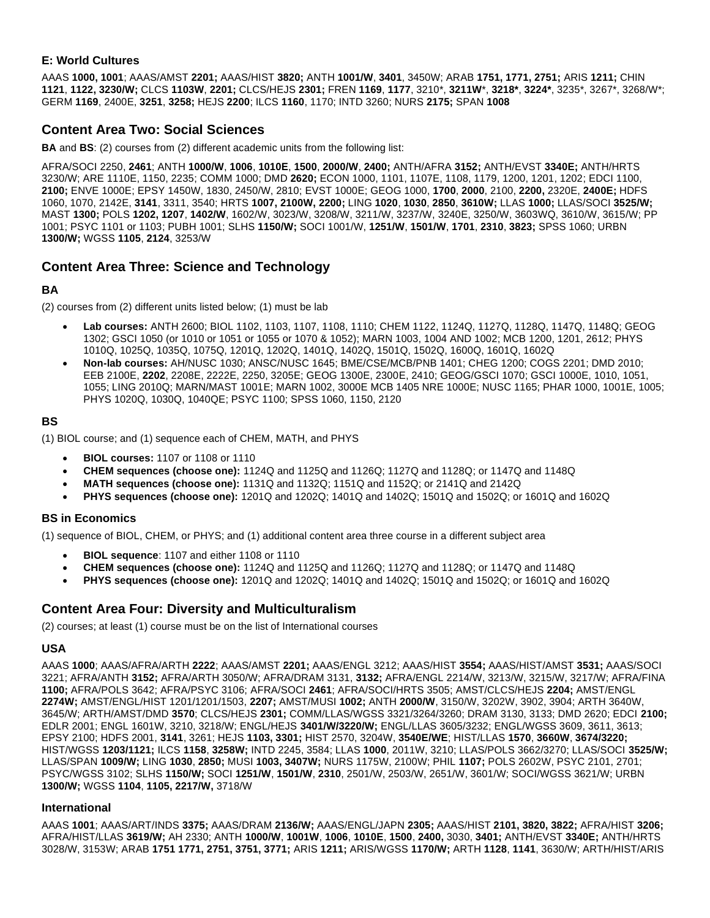#### **E: World Cultures**

AAAS **1000, 1001**; AAAS/AMST **2201;** AAAS/HIST **3820;** ANTH **1001/W**, **3401**, 3450W; ARAB **1751, 1771, 2751;** ARIS **1211;** CHIN **1121**, **1122, 3230/W;** CLCS **1103W**, **2201;** CLCS/HEJS **2301;** FREN **1169**, **1177**, 3210\*, **3211W**\*, **3218\***, **3224\***, 3235\*, 3267\*, 3268/W\*; GERM **1169**, 2400E, **3251**, **3258;** HEJS **2200**; ILCS **1160**, 1170; INTD 3260; NURS **2175;** SPAN **1008**

## **Content Area Two: Social Sciences**

**BA** and **BS**: (2) courses from (2) different academic units from the following list:

AFRA/SOCI 2250, **2461**; ANTH **1000/W**, **1006**, **1010E**, **1500**, **2000/W**, **2400;** ANTH/AFRA **3152;** ANTH/EVST **3340E;** ANTH/HRTS 3230/W; ARE 1110E, 1150, 2235; COMM 1000; DMD **2620;** ECON 1000, 1101, 1107E, 1108, 1179, 1200, 1201, 1202; EDCI 1100, **2100;** ENVE 1000E; EPSY 1450W, 1830, 2450/W, 2810; EVST 1000E; GEOG 1000, **1700**, **2000**, 2100, **2200,** 2320E, **2400E;** HDFS 1060, 1070, 2142E, **3141**, 3311, 3540; HRTS **1007, 2100W, 2200;** LING **1020**, **1030**, **2850**, **3610W;** LLAS **1000;** LLAS/SOCI **3525/W;** MAST **1300;** POLS **1202, 1207**, **1402/W**, 1602/W, 3023/W, 3208/W, 3211/W, 3237/W, 3240E, 3250/W, 3603WQ, 3610/W, 3615/W; PP 1001; PSYC 1101 or 1103; PUBH 1001; SLHS **1150/W;** SOCI 1001/W, **1251/W**, **1501/W**, **1701**, **2310**, **3823;** SPSS 1060; URBN **1300/W;** WGSS **1105**, **2124**, 3253/W

## **Content Area Three: Science and Technology**

#### **BA**

(2) courses from (2) different units listed below; (1) must be lab

- **Lab courses:** ANTH 2600; BIOL 1102, 1103, 1107, 1108, 1110; CHEM 1122, 1124Q, 1127Q, 1128Q, 1147Q, 1148Q; GEOG 1302; GSCI 1050 (or 1010 or 1051 or 1055 or 1070 & 1052); MARN 1003, 1004 AND 1002; MCB 1200, 1201, 2612; PHYS 1010Q, 1025Q, 1035Q, 1075Q, 1201Q, 1202Q, 1401Q, 1402Q, 1501Q, 1502Q, 1600Q, 1601Q, 1602Q
- **Non-lab courses:** AH/NUSC 1030; ANSC/NUSC 1645; BME/CSE/MCB/PNB 1401; CHEG 1200; COGS 2201; DMD 2010; EEB 2100E, **2202**, 2208E, 2222E, 2250, 3205E; GEOG 1300E, 2300E, 2410; GEOG/GSCI 1070; GSCI 1000E, 1010, 1051, 1055; LING 2010Q; MARN/MAST 1001E; MARN 1002, 3000E MCB 1405 NRE 1000E; NUSC 1165; PHAR 1000, 1001E, 1005; PHYS 1020Q, 1030Q, 1040QE; PSYC 1100; SPSS 1060, 1150, 2120

#### **BS**

(1) BIOL course; and (1) sequence each of CHEM, MATH, and PHYS

- **BIOL courses:** 1107 or 1108 or 1110
- **CHEM sequences (choose one):** 1124Q and 1125Q and 1126Q; 1127Q and 1128Q; or 1147Q and 1148Q
- **MATH sequences (choose one):** 1131Q and 1132Q; 1151Q and 1152Q; or 2141Q and 2142Q
- **PHYS sequences (choose one):** 1201Q and 1202Q; 1401Q and 1402Q; 1501Q and 1502Q; or 1601Q and 1602Q

#### **BS in Economics**

(1) sequence of BIOL, CHEM, or PHYS; and (1) additional content area three course in a different subject area

- **BIOL sequence**: 1107 and either 1108 or 1110
- **CHEM sequences (choose one):** 1124Q and 1125Q and 1126Q; 1127Q and 1128Q; or 1147Q and 1148Q
- **PHYS sequences (choose one):** 1201Q and 1202Q; 1401Q and 1402Q; 1501Q and 1502Q; or 1601Q and 1602Q

## **Content Area Four: Diversity and Multiculturalism**

(2) courses; at least (1) course must be on the list of International courses

#### **USA**

AAAS **1000**; AAAS/AFRA/ARTH **2222**; AAAS/AMST **2201;** AAAS/ENGL 3212; AAAS/HIST **3554;** AAAS/HIST/AMST **3531;** AAAS/SOCI 3221; AFRA/ANTH **3152;** AFRA/ARTH 3050/W; AFRA/DRAM 3131, **3132;** AFRA/ENGL 2214/W, 3213/W, 3215/W, 3217/W; AFRA/FINA **1100;** AFRA/POLS 3642; AFRA/PSYC 3106; AFRA/SOCI **2461**; AFRA/SOCI/HRTS 3505; AMST/CLCS/HEJS **2204;** AMST/ENGL **2274W;** AMST/ENGL/HIST 1201/1201/1503, **2207;** AMST/MUSI **1002;** ANTH **2000/W**, 3150/W, 3202W, 3902, 3904; ARTH 3640W, 3645/W; ARTH/AMST/DMD **3570**; CLCS/HEJS **2301;** COMM/LLAS/WGSS 3321/3264/3260; DRAM 3130, 3133; DMD 2620; EDCI **2100;**  EDLR 2001; ENGL 1601W, 3210, 3218/W; ENGL/HEJS **3401/W/3220/W;** ENGL/LLAS 3605/3232; ENGL/WGSS 3609, 3611, 3613; EPSY 2100; HDFS 2001, **3141**, 3261; HEJS **1103, 3301;** HIST 2570, 3204W, **3540E/WE**; HIST/LLAS **1570**, **3660W**, **3674/3220;**  HIST/WGSS **1203/1121;** ILCS **1158**, **3258W;** INTD 2245, 3584; LLAS **1000**, 2011W, 3210; LLAS/POLS 3662/3270; LLAS/SOCI **3525/W;**  LLAS/SPAN **1009/W;** LING **1030**, **2850;** MUSI **1003, 3407W;** NURS 1175W, 2100W; PHIL **1107;** POLS 2602W, PSYC 2101, 2701; PSYC/WGSS 3102; SLHS **1150/W;** SOCI **1251/W**, **1501/W**, **2310**, 2501/W, 2503/W, 2651/W, 3601/W; SOCI/WGSS 3621/W; URBN **1300/W;** WGSS **1104**, **1105, 2217/W,** 3718/W

#### **International**

AAAS **1001**; AAAS/ART/INDS **3375;** AAAS/DRAM **2136/W;** AAAS/ENGL/JAPN **2305;** AAAS/HIST **2101, 3820, 3822;** AFRA/HIST **3206;**  AFRA/HIST/LLAS **3619/W;** AH 2330; ANTH **1000/W**, **1001W**, **1006**, **1010E**, **1500**, **2400,** 3030, **3401;** ANTH/EVST **3340E;** ANTH/HRTS 3028/W, 3153W; ARAB **1751 1771, 2751, 3751, 3771;** ARIS **1211;** ARIS/WGSS **1170/W;** ARTH **1128**, **1141**, 3630/W; ARTH/HIST/ARIS